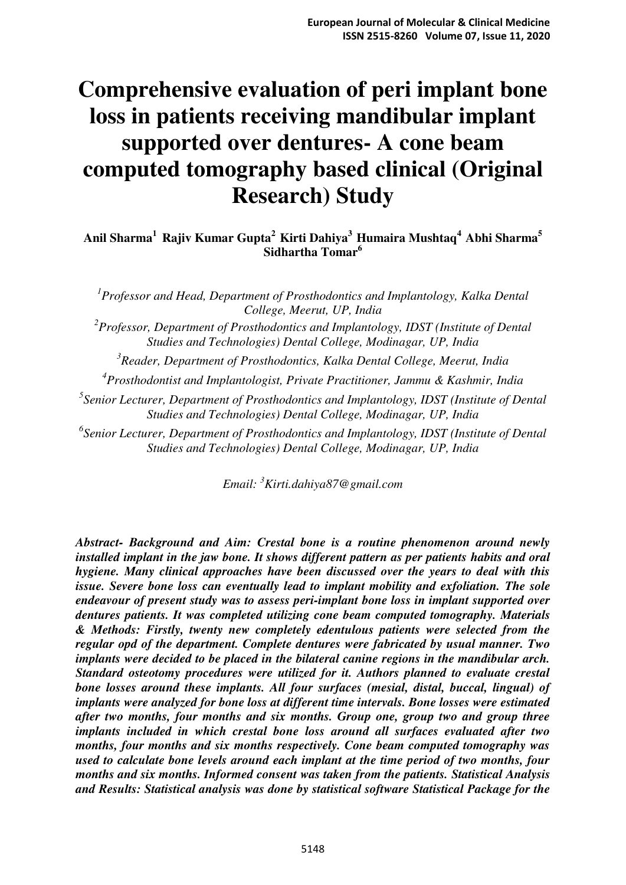# **Comprehensive evaluation of peri implant bone loss in patients receiving mandibular implant supported over dentures- A cone beam computed tomography based clinical (Original Research) Study**

**Anil Sharma<sup>1</sup>Rajiv Kumar Gupta<sup>2</sup>Kirti Dahiya<sup>3</sup>Humaira Mushtaq<sup>4</sup>Abhi Sharma<sup>5</sup> Sidhartha Tomar<sup>6</sup>**

<sup>1</sup> Professor and Head, Department of Prosthodontics and Implantology, Kalka Dental *College, Meerut, UP, India* 

*2 Professor, Department of Prosthodontics and Implantology, IDST (Institute of Dental Studies and Technologies) Dental College, Modinagar, UP, India* 

*3 Reader, Department of Prosthodontics, Kalka Dental College, Meerut, India* 

*4 Prosthodontist and Implantologist, Private Practitioner, Jammu & Kashmir, India* 

*5 Senior Lecturer, Department of Prosthodontics and Implantology, IDST (Institute of Dental Studies and Technologies) Dental College, Modinagar, UP, India* 

*6 Senior Lecturer, Department of Prosthodontics and Implantology, IDST (Institute of Dental Studies and Technologies) Dental College, Modinagar, UP, India* 

*Email: <sup>3</sup>Kirti.dahiya87@gmail.com* 

*Abstract- Background and Aim: Crestal bone is a routine phenomenon around newly installed implant in the jaw bone. It shows different pattern as per patients habits and oral hygiene. Many clinical approaches have been discussed over the years to deal with this issue. Severe bone loss can eventually lead to implant mobility and exfoliation. The sole endeavour of present study was to assess peri-implant bone loss in implant supported over dentures patients. It was completed utilizing cone beam computed tomography. Materials & Methods: Firstly, twenty new completely edentulous patients were selected from the regular opd of the department. Complete dentures were fabricated by usual manner. Two implants were decided to be placed in the bilateral canine regions in the mandibular arch. Standard osteotomy procedures were utilized for it. Authors planned to evaluate crestal bone losses around these implants. All four surfaces (mesial, distal, buccal, lingual) of implants were analyzed for bone loss at different time intervals. Bone losses were estimated after two months, four months and six months. Group one, group two and group three implants included in which crestal bone loss around all surfaces evaluated after two months, four months and six months respectively. Cone beam computed tomography was used to calculate bone levels around each implant at the time period of two months, four months and six months. Informed consent was taken from the patients. Statistical Analysis and Results: Statistical analysis was done by statistical software Statistical Package for the*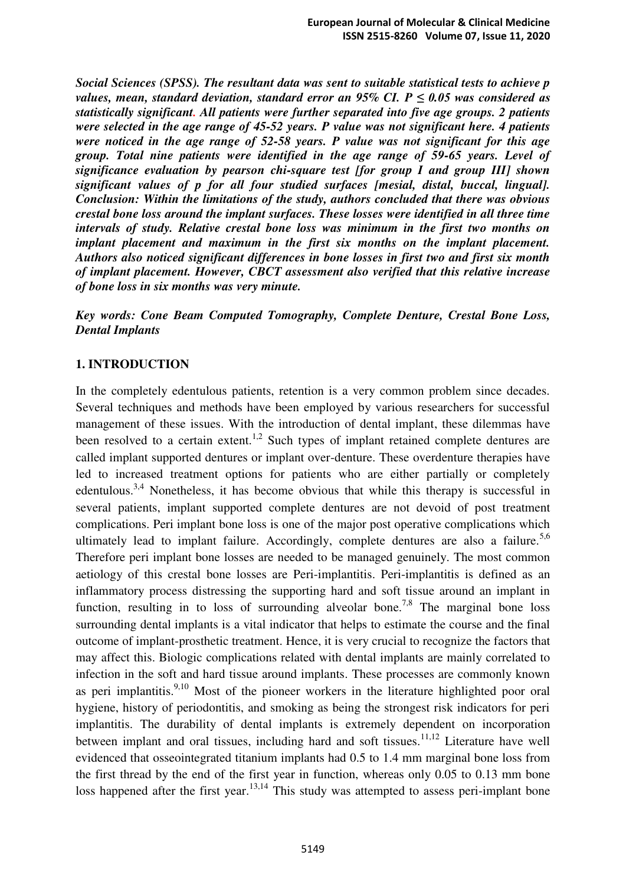*Social Sciences (SPSS). The resultant data was sent to suitable statistical tests to achieve p values, mean, standard deviation, standard error an 95% CI. P*  $\leq 0.05$  *was considered as statistically significant. All patients were further separated into five age groups. 2 patients were selected in the age range of 45-52 years. P value was not significant here. 4 patients were noticed in the age range of 52-58 years. P value was not significant for this age group. Total nine patients were identified in the age range of 59-65 years. Level of significance evaluation by pearson chi-square test [for group I and group III] shown significant values of p for all four studied surfaces [mesial, distal, buccal, lingual]. Conclusion: Within the limitations of the study, authors concluded that there was obvious crestal bone loss around the implant surfaces. These losses were identified in all three time intervals of study. Relative crestal bone loss was minimum in the first two months on implant placement and maximum in the first six months on the implant placement. Authors also noticed significant differences in bone losses in first two and first six month of implant placement. However, CBCT assessment also verified that this relative increase of bone loss in six months was very minute.* 

*Key words: Cone Beam Computed Tomography, Complete Denture, Crestal Bone Loss, Dental Implants* 

#### **1. INTRODUCTION**

In the completely edentulous patients, retention is a very common problem since decades. Several techniques and methods have been employed by various researchers for successful management of these issues. With the introduction of dental implant, these dilemmas have been resolved to a certain extent.<sup>1,2</sup> Such types of implant retained complete dentures are called implant supported dentures or implant over-denture. These overdenture therapies have led to increased treatment options for patients who are either partially or completely edentulous.<sup>3,4</sup> Nonetheless, it has become obvious that while this therapy is successful in several patients, implant supported complete dentures are not devoid of post treatment complications. Peri implant bone loss is one of the major post operative complications which ultimately lead to implant failure. Accordingly, complete dentures are also a failure.<sup>5,6</sup> Therefore peri implant bone losses are needed to be managed genuinely. The most common aetiology of this crestal bone losses are Peri-implantitis. Peri-implantitis is defined as an inflammatory process distressing the supporting hard and soft tissue around an implant in function, resulting in to loss of surrounding alveolar bone.<sup>7,8</sup> The marginal bone loss surrounding dental implants is a vital indicator that helps to estimate the course and the final outcome of implant-prosthetic treatment. Hence, it is very crucial to recognize the factors that may affect this. Biologic complications related with dental implants are mainly correlated to infection in the soft and hard tissue around implants. These processes are commonly known as peri implantitis.<sup>9,10</sup> Most of the pioneer workers in the literature highlighted poor oral hygiene, history of periodontitis, and smoking as being the strongest risk indicators for peri implantitis. The durability of dental implants is extremely dependent on incorporation between implant and oral tissues, including hard and soft tissues.<sup>11,12</sup> Literature have well evidenced that osseointegrated titanium implants had 0.5 to 1.4 mm marginal bone loss from the first thread by the end of the first year in function, whereas only 0.05 to 0.13 mm bone loss happened after the first year.<sup>13,14</sup> This study was attempted to assess peri-implant bone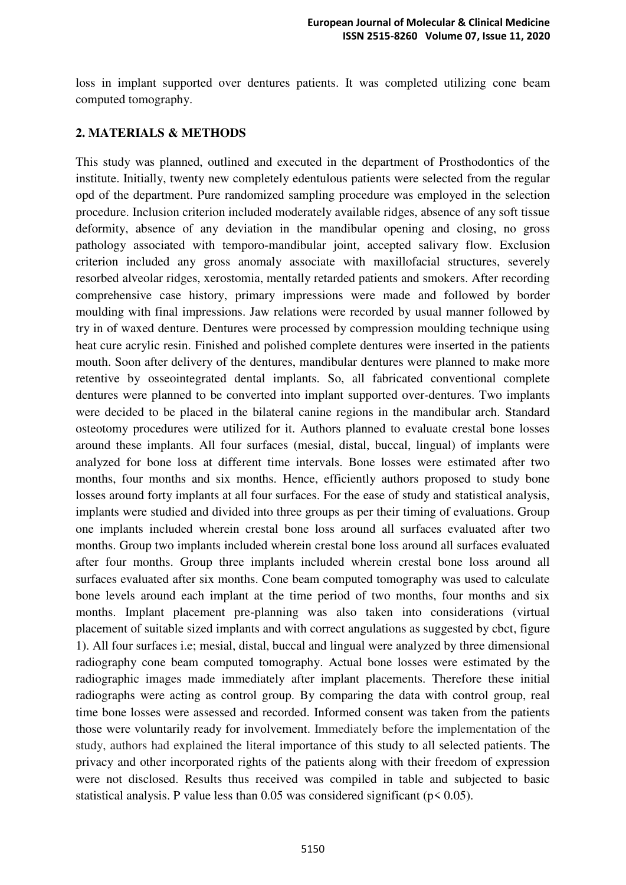loss in implant supported over dentures patients. It was completed utilizing cone beam computed tomography.

## **2. MATERIALS & METHODS**

This study was planned, outlined and executed in the department of Prosthodontics of the institute. Initially, twenty new completely edentulous patients were selected from the regular opd of the department. Pure randomized sampling procedure was employed in the selection procedure. Inclusion criterion included moderately available ridges, absence of any soft tissue deformity, absence of any deviation in the mandibular opening and closing, no gross pathology associated with temporo-mandibular joint, accepted salivary flow. Exclusion criterion included any gross anomaly associate with maxillofacial structures, severely resorbed alveolar ridges, xerostomia, mentally retarded patients and smokers. After recording comprehensive case history, primary impressions were made and followed by border moulding with final impressions. Jaw relations were recorded by usual manner followed by try in of waxed denture. Dentures were processed by compression moulding technique using heat cure acrylic resin. Finished and polished complete dentures were inserted in the patients mouth. Soon after delivery of the dentures, mandibular dentures were planned to make more retentive by osseointegrated dental implants. So, all fabricated conventional complete dentures were planned to be converted into implant supported over-dentures. Two implants were decided to be placed in the bilateral canine regions in the mandibular arch. Standard osteotomy procedures were utilized for it. Authors planned to evaluate crestal bone losses around these implants. All four surfaces (mesial, distal, buccal, lingual) of implants were analyzed for bone loss at different time intervals. Bone losses were estimated after two months, four months and six months. Hence, efficiently authors proposed to study bone losses around forty implants at all four surfaces. For the ease of study and statistical analysis, implants were studied and divided into three groups as per their timing of evaluations. Group one implants included wherein crestal bone loss around all surfaces evaluated after two months. Group two implants included wherein crestal bone loss around all surfaces evaluated after four months. Group three implants included wherein crestal bone loss around all surfaces evaluated after six months. Cone beam computed tomography was used to calculate bone levels around each implant at the time period of two months, four months and six months. Implant placement pre-planning was also taken into considerations (virtual placement of suitable sized implants and with correct angulations as suggested by cbct, figure 1). All four surfaces i.e; mesial, distal, buccal and lingual were analyzed by three dimensional radiography cone beam computed tomography. Actual bone losses were estimated by the radiographic images made immediately after implant placements. Therefore these initial radiographs were acting as control group. By comparing the data with control group, real time bone losses were assessed and recorded. Informed consent was taken from the patients those were voluntarily ready for involvement. Immediately before the implementation of the study, authors had explained the literal importance of this study to all selected patients. The privacy and other incorporated rights of the patients along with their freedom of expression were not disclosed. Results thus received was compiled in table and subjected to basic statistical analysis. P value less than  $0.05$  was considered significant ( $p < 0.05$ ).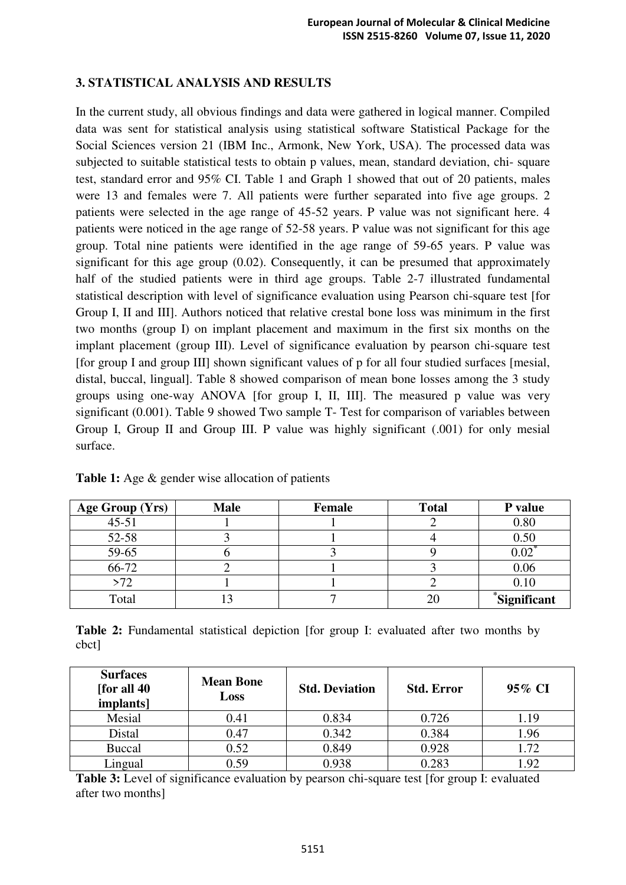## **3. STATISTICAL ANALYSIS AND RESULTS**

In the current study, all obvious findings and data were gathered in logical manner. Compiled data was sent for statistical analysis using statistical software Statistical Package for the Social Sciences version 21 (IBM Inc., Armonk, New York, USA). The processed data was subjected to suitable statistical tests to obtain p values, mean, standard deviation, chi- square test, standard error and 95% CI. Table 1 and Graph 1 showed that out of 20 patients, males were 13 and females were 7. All patients were further separated into five age groups. 2 patients were selected in the age range of 45-52 years. P value was not significant here. 4 patients were noticed in the age range of 52-58 years. P value was not significant for this age group. Total nine patients were identified in the age range of 59-65 years. P value was significant for this age group (0.02). Consequently, it can be presumed that approximately half of the studied patients were in third age groups. Table 2-7 illustrated fundamental statistical description with level of significance evaluation using Pearson chi-square test [for Group I, II and III]. Authors noticed that relative crestal bone loss was minimum in the first two months (group I) on implant placement and maximum in the first six months on the implant placement (group III). Level of significance evaluation by pearson chi-square test [for group I and group III] shown significant values of p for all four studied surfaces [mesial, distal, buccal, lingual]. Table 8 showed comparison of mean bone losses among the 3 study groups using one-way ANOVA [for group I, II, III]. The measured p value was very significant (0.001). Table 9 showed Two sample T- Test for comparison of variables between Group I, Group II and Group III. P value was highly significant (.001) for only mesial surface.

| Age Group (Yrs) | <b>Male</b> | Female | <b>Total</b> | P value          |
|-----------------|-------------|--------|--------------|------------------|
| $45 - 51$       |             |        |              | 0.80             |
| 52-58           |             |        |              | 0.50             |
| 59-65           |             |        |              | $0.02^{\degree}$ |
| 66-72           |             |        |              | 0.06             |
| >72             |             |        |              | 0.10             |
| Total           |             |        | 20           | *Significant     |

**Table 1:** Age & gender wise allocation of patients

**Table 2:** Fundamental statistical depiction [for group I: evaluated after two months by cbct]

| <b>Surfaces</b><br>[for all 40]<br><i>implants]</i> | <b>Mean Bone</b><br>Loss | <b>Std. Deviation</b> | <b>Std. Error</b> | 95% CI |
|-----------------------------------------------------|--------------------------|-----------------------|-------------------|--------|
| Mesial                                              | 0.41                     | 0.834                 | 0.726             | 1.19   |
| Distal                                              | 0.47                     | 0.342                 | 0.384             | 1.96   |
| <b>Buccal</b>                                       | 0.52                     | 0.849                 | 0.928             | 1.72   |
| Lingual                                             | 0.59                     | 0.938                 | 0.283             | 1.92   |

**Table 3:** Level of significance evaluation by pearson chi-square test [for group I: evaluated after two months]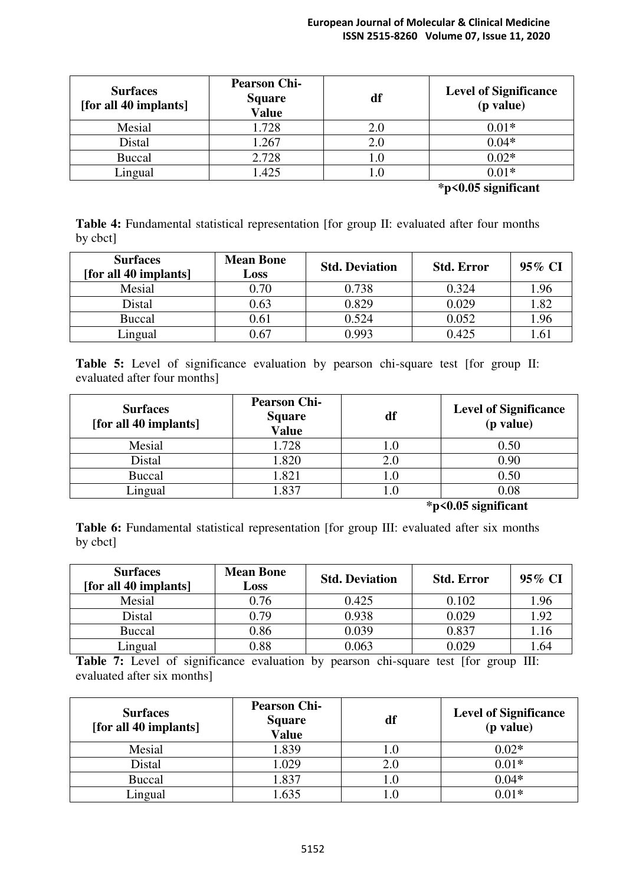#### **European Journal of Molecular & Clinical Medicine ISSN 2515-8260 Volume 07, Issue 11, 2020**

| <b>Surfaces</b><br>[for all 40 implants] | <b>Pearson Chi-</b><br><b>Square</b><br><b>Value</b> | df  | <b>Level of Significance</b><br>(p value) |
|------------------------------------------|------------------------------------------------------|-----|-------------------------------------------|
| Mesial                                   | 1.728                                                | 2.0 | $0.01*$                                   |
| Distal                                   | 1.267                                                | 2.0 | $0.04*$                                   |
| <b>Buccal</b>                            | 2.728                                                | 1.0 | $0.02*$                                   |
| Lingual                                  | .425                                                 | l.0 | $0.01*$                                   |

**\*p<0.05 significant** 

**Table 4:** Fundamental statistical representation [for group II: evaluated after four months by cbct]

| <b>Surfaces</b><br>[for all 40 implants] | <b>Mean Bone</b><br>Loss | <b>Std. Deviation</b> | <b>Std. Error</b> | 95% CI |
|------------------------------------------|--------------------------|-----------------------|-------------------|--------|
| Mesial                                   | 0.70                     | 0.738                 | 0.324             | 1.96   |
| Distal                                   | 0.63                     | 0.829                 | 0.029             | 1.82   |
| <b>Buccal</b>                            | 0.61                     | 0.524                 | 0.052             | 1.96   |
| Lingual                                  | $0.67\,$                 | 0.993                 | 0.425             | 1.6.   |

**Table 5:** Level of significance evaluation by pearson chi-square test [for group II: evaluated after four months]

| <b>Surfaces</b><br>[for all 40 implants] | <b>Pearson Chi-</b><br><b>Square</b><br><b>Value</b> | df | <b>Level of Significance</b><br>(p value) |
|------------------------------------------|------------------------------------------------------|----|-------------------------------------------|
| Mesial                                   | 1.728                                                |    | 0.50                                      |
| Distal                                   | 1.820                                                |    | 0.90                                      |
| <b>Buccal</b>                            | .821                                                 |    | 0.50                                      |
| Lingual                                  | .837                                                 |    | 0.08                                      |

**\*p<0.05 significant** 

**Table 6:** Fundamental statistical representation [for group III: evaluated after six months by cbct]

| <b>Surfaces</b><br>[for all 40 implants] | <b>Mean Bone</b><br>Loss | <b>Std. Deviation</b> | <b>Std. Error</b> | 95% CI |
|------------------------------------------|--------------------------|-----------------------|-------------------|--------|
| Mesial                                   | 0.76                     | 0.425                 | 0.102             | 1.96   |
| Distal                                   | 0.79                     | 0.938                 | 0.029             | 1.92   |
| <b>Buccal</b>                            | 0.86                     | 0.039                 | 0.837             | 1.16   |
| Lingual                                  | 0.88                     | 0.063                 | 0.029             | 1.64   |

Table 7: Level of significance evaluation by pearson chi-square test [for group III: evaluated after six months]

| <b>Surfaces</b><br>[for all 40 implants] | <b>Pearson Chi-</b><br><b>Square</b><br><b>Value</b> | df | <b>Level of Significance</b><br>(p value) |
|------------------------------------------|------------------------------------------------------|----|-------------------------------------------|
| Mesial                                   | 1.839                                                |    | $0.02*$                                   |
| Distal                                   | 1.029                                                |    | $0.01*$                                   |
| <b>Buccal</b>                            | 1.837                                                |    | $0.04*$                                   |
| Lingual                                  | .635                                                 |    | በ በ1*                                     |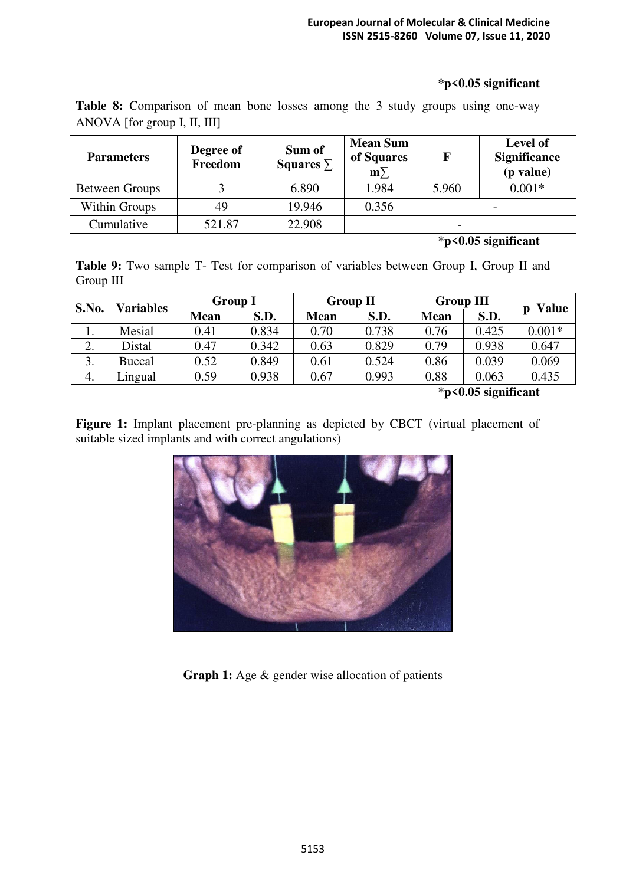#### **\*p<0.05 significant**

| <b>Parameters</b>     | Degree of<br>Freedom | Sum of<br>Squares $\Sigma$ | <b>Mean Sum</b><br>of Squares<br>$m\overline{ }$ |                          | Level of<br><b>Significance</b><br>(p value) |
|-----------------------|----------------------|----------------------------|--------------------------------------------------|--------------------------|----------------------------------------------|
| <b>Between Groups</b> |                      | 6.890                      | 1.984                                            | 5.960                    | $0.001*$                                     |
| Within Groups         | 49                   | 19.946                     | 0.356                                            |                          | $\overline{\phantom{0}}$                     |
| Cumulative            | 521.87               | 22.908                     |                                                  | $\overline{\phantom{0}}$ |                                              |

**Table 8:** Comparison of mean bone losses among the 3 study groups using one-way ANOVA [for group I, II, III]

# **\*p<0.05 significant**

**Table 9:** Two sample T- Test for comparison of variables between Group I, Group II and Group III

| S.No.                                               | <b>Group I</b><br><b>Variables</b> |             | <b>Group II</b> |             | <b>Group III</b> |             | <b>Value</b> |          |
|-----------------------------------------------------|------------------------------------|-------------|-----------------|-------------|------------------|-------------|--------------|----------|
|                                                     |                                    | <b>Mean</b> | S.D.            | <b>Mean</b> | S.D.             | <b>Mean</b> | S.D.         | Ŋ        |
| 1.                                                  | Mesial                             | 0.41        | 0.834           | 0.70        | 0.738            | 0.76        | 0.425        | $0.001*$ |
| 2.                                                  | Distal                             | ).47        | 0.342           | 0.63        | 0.829            | 0.79        | 0.938        | 0.647    |
| 3.                                                  | <b>Buccal</b>                      | 0.52        | 0.849           | 0.61        | 0.524            | 0.86        | 0.039        | 0.069    |
| 4.                                                  | Lingual                            | 0.59        | 0.938           | 0.67        | 0.993            | 0.88        | 0.063        | 0.435    |
| $\bullet$<br>$\mathbf{a}$ $\mathbf{a}$ $\mathbf{b}$ |                                    |             |                 |             |                  |             |              |          |

**\*p<0.05 significant** 

Figure 1: Implant placement pre-planning as depicted by CBCT (virtual placement of suitable sized implants and with correct angulations)



Graph 1: Age & gender wise allocation of patients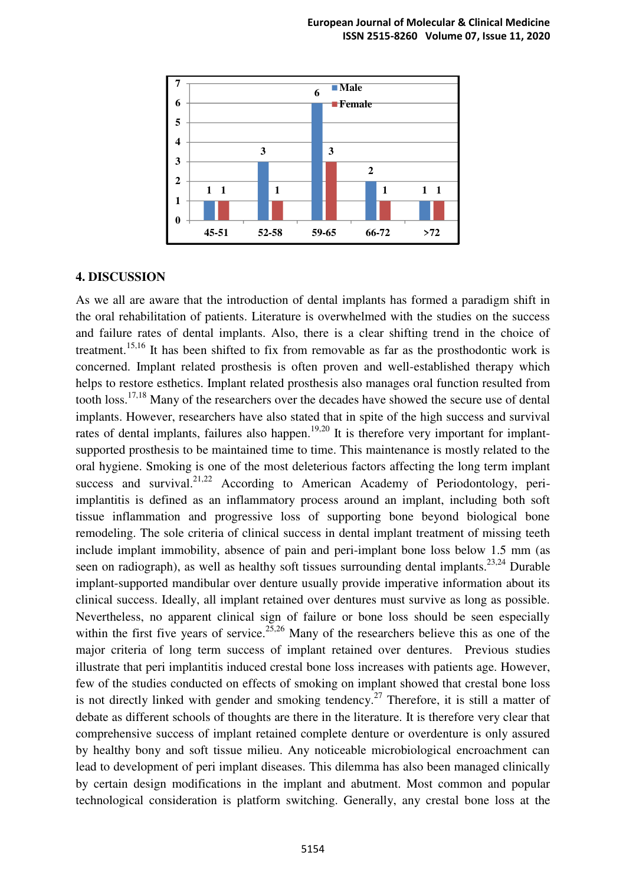

#### **4. DISCUSSION**

As we all are aware that the introduction of dental implants has formed a paradigm shift in the oral rehabilitation of patients. Literature is overwhelmed with the studies on the success and failure rates of dental implants. Also, there is a clear shifting trend in the choice of treatment.<sup>15,16</sup> It has been shifted to fix from removable as far as the prosthodontic work is concerned. Implant related prosthesis is often proven and well-established therapy which helps to restore esthetics. Implant related prosthesis also manages oral function resulted from tooth loss.17,18 Many of the researchers over the decades have showed the secure use of dental implants. However, researchers have also stated that in spite of the high success and survival rates of dental implants, failures also happen.<sup>19,20</sup> It is therefore very important for implantsupported prosthesis to be maintained time to time. This maintenance is mostly related to the oral hygiene. Smoking is one of the most deleterious factors affecting the long term implant success and survival.<sup>21,22</sup> According to American Academy of Periodontology, periimplantitis is defined as an inflammatory process around an implant, including both soft tissue inflammation and progressive loss of supporting bone beyond biological bone remodeling. The sole criteria of clinical success in dental implant treatment of missing teeth include implant immobility, absence of pain and peri-implant bone loss below 1.5 mm (as seen on radiograph), as well as healthy soft tissues surrounding dental implants.<sup>23,24</sup> Durable implant-supported mandibular over denture usually provide imperative information about its clinical success. Ideally, all implant retained over dentures must survive as long as possible. Nevertheless, no apparent clinical sign of failure or bone loss should be seen especially within the first five years of service.<sup>25,26</sup> Many of the researchers believe this as one of the major criteria of long term success of implant retained over dentures. Previous studies illustrate that peri implantitis induced crestal bone loss increases with patients age. However, few of the studies conducted on effects of smoking on implant showed that crestal bone loss is not directly linked with gender and smoking tendency.<sup>27</sup> Therefore, it is still a matter of debate as different schools of thoughts are there in the literature. It is therefore very clear that comprehensive success of implant retained complete denture or overdenture is only assured by healthy bony and soft tissue milieu. Any noticeable microbiological encroachment can lead to development of peri implant diseases. This dilemma has also been managed clinically by certain design modifications in the implant and abutment. Most common and popular technological consideration is platform switching. Generally, any crestal bone loss at the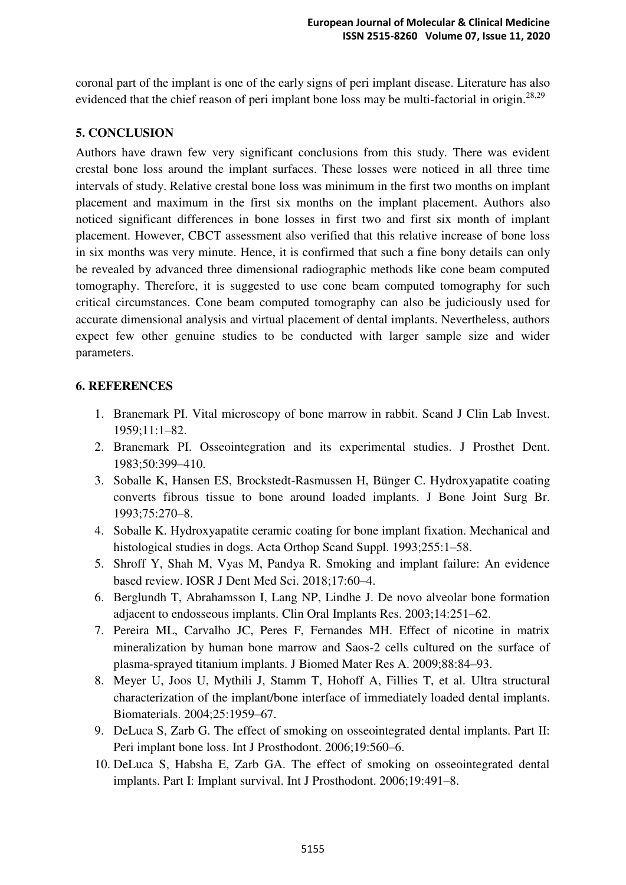coronal part of the implant is one of the early signs of peri implant disease. Literature has also evidenced that the chief reason of peri implant bone loss may be multi-factorial in origin.<sup>28,29</sup>

# **5. CONCLUSION**

Authors have drawn few very significant conclusions from this study. There was evident crestal bone loss around the implant surfaces. These losses were noticed in all three time intervals of study. Relative crestal bone loss was minimum in the first two months on implant placement and maximum in the first six months on the implant placement. Authors also noticed significant differences in bone losses in first two and first six month of implant placement. However, CBCT assessment also verified that this relative increase of bone loss in six months was very minute. Hence, it is confirmed that such a fine bony details can only be revealed by advanced three dimensional radiographic methods like cone beam computed tomography. Therefore, it is suggested to use cone beam computed tomography for such critical circumstances. Cone beam computed tomography can also be judiciously used for accurate dimensional analysis and virtual placement of dental implants. Nevertheless, authors expect few other genuine studies to be conducted with larger sample size and wider parameters.

#### **6. REFERENCES**

- 1. Branemark PI. Vital microscopy of bone marrow in rabbit. Scand J Clin Lab Invest. 1959;11:1–82.
- 2. Branemark PI. Osseointegration and its experimental studies. J Prosthet Dent. 1983;50:399–410.
- 3. Soballe K, Hansen ES, Brockstedt-Rasmussen H, Bünger C. Hydroxyapatite coating converts fibrous tissue to bone around loaded implants. J Bone Joint Surg Br. 1993;75:270–8.
- 4. Soballe K. Hydroxyapatite ceramic coating for bone implant fixation. Mechanical and histological studies in dogs. Acta Orthop Scand Suppl. 1993;255:1–58.
- 5. Shroff Y, Shah M, Vyas M, Pandya R. Smoking and implant failure: An evidence based review. IOSR J Dent Med Sci. 2018;17:60–4.
- 6. Berglundh T, Abrahamsson I, Lang NP, Lindhe J. De novo alveolar bone formation adjacent to endosseous implants. Clin Oral Implants Res. 2003;14:251–62.
- 7. Pereira ML, Carvalho JC, Peres F, Fernandes MH. Effect of nicotine in matrix mineralization by human bone marrow and Saos-2 cells cultured on the surface of plasma-sprayed titanium implants. J Biomed Mater Res A. 2009;88:84–93.
- 8. Meyer U, Joos U, Mythili J, Stamm T, Hohoff A, Fillies T, et al. Ultra structural characterization of the implant/bone interface of immediately loaded dental implants. Biomaterials. 2004;25:1959–67.
- 9. DeLuca S, Zarb G. The effect of smoking on osseointegrated dental implants. Part II: Peri implant bone loss. Int J Prosthodont. 2006;19:560–6.
- 10. DeLuca S, Habsha E, Zarb GA. The effect of smoking on osseointegrated dental implants. Part I: Implant survival. Int J Prosthodont. 2006;19:491–8.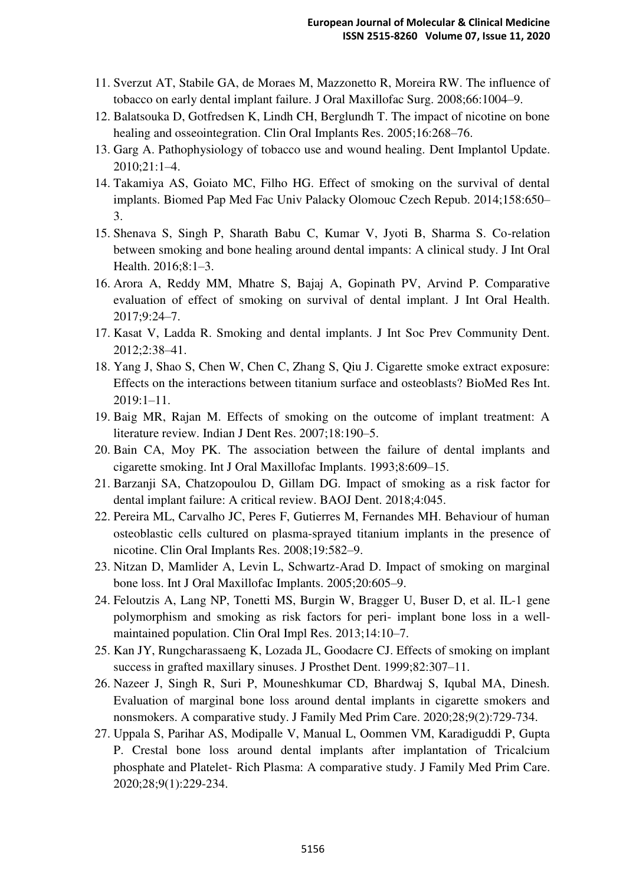- 11. Sverzut AT, Stabile GA, de Moraes M, Mazzonetto R, Moreira RW. The influence of tobacco on early dental implant failure. J Oral Maxillofac Surg. 2008;66:1004–9.
- 12. Balatsouka D, Gotfredsen K, Lindh CH, Berglundh T. The impact of nicotine on bone healing and osseointegration. Clin Oral Implants Res. 2005;16:268–76.
- 13. Garg A. Pathophysiology of tobacco use and wound healing. Dent Implantol Update. 2010;21:1–4.
- 14. Takamiya AS, Goiato MC, Filho HG. Effect of smoking on the survival of dental implants. Biomed Pap Med Fac Univ Palacky Olomouc Czech Repub. 2014;158:650– 3.
- 15. Shenava S, Singh P, Sharath Babu C, Kumar V, Jyoti B, Sharma S. Co-relation between smoking and bone healing around dental impants: A clinical study. J Int Oral Health. 2016;8:1–3.
- 16. Arora A, Reddy MM, Mhatre S, Bajaj A, Gopinath PV, Arvind P. Comparative evaluation of effect of smoking on survival of dental implant. J Int Oral Health. 2017;9:24–7.
- 17. Kasat V, Ladda R. Smoking and dental implants. J Int Soc Prev Community Dent. 2012;2:38–41.
- 18. Yang J, Shao S, Chen W, Chen C, Zhang S, Qiu J. Cigarette smoke extract exposure: Effects on the interactions between titanium surface and osteoblasts? BioMed Res Int. 2019:1–11.
- 19. Baig MR, Rajan M. Effects of smoking on the outcome of implant treatment: A literature review. Indian J Dent Res. 2007;18:190–5.
- 20. Bain CA, Moy PK. The association between the failure of dental implants and cigarette smoking. Int J Oral Maxillofac Implants. 1993;8:609–15.
- 21. Barzanji SA, Chatzopoulou D, Gillam DG. Impact of smoking as a risk factor for dental implant failure: A critical review. BAOJ Dent. 2018;4:045.
- 22. Pereira ML, Carvalho JC, Peres F, Gutierres M, Fernandes MH. Behaviour of human osteoblastic cells cultured on plasma-sprayed titanium implants in the presence of nicotine. Clin Oral Implants Res. 2008;19:582–9.
- 23. Nitzan D, Mamlider A, Levin L, Schwartz-Arad D. Impact of smoking on marginal bone loss. Int J Oral Maxillofac Implants. 2005;20:605–9.
- 24. Feloutzis A, Lang NP, Tonetti MS, Burgin W, Bragger U, Buser D, et al. IL-1 gene polymorphism and smoking as risk factors for peri- implant bone loss in a wellmaintained population. Clin Oral Impl Res. 2013;14:10–7.
- 25. Kan JY, Rungcharassaeng K, Lozada JL, Goodacre CJ. Effects of smoking on implant success in grafted maxillary sinuses. J Prosthet Dent. 1999;82:307–11.
- 26. Nazeer J, Singh R, Suri P, Mouneshkumar CD, Bhardwaj S, Iqubal MA, Dinesh. Evaluation of marginal bone loss around dental implants in cigarette smokers and nonsmokers. A comparative study. J Family Med Prim Care. 2020;28;9(2):729-734.
- 27. Uppala S, Parihar AS, Modipalle V, Manual L, Oommen VM, Karadiguddi P, Gupta P. Crestal bone loss around dental implants after implantation of Tricalcium phosphate and Platelet- Rich Plasma: A comparative study. J Family Med Prim Care. 2020;28;9(1):229-234.